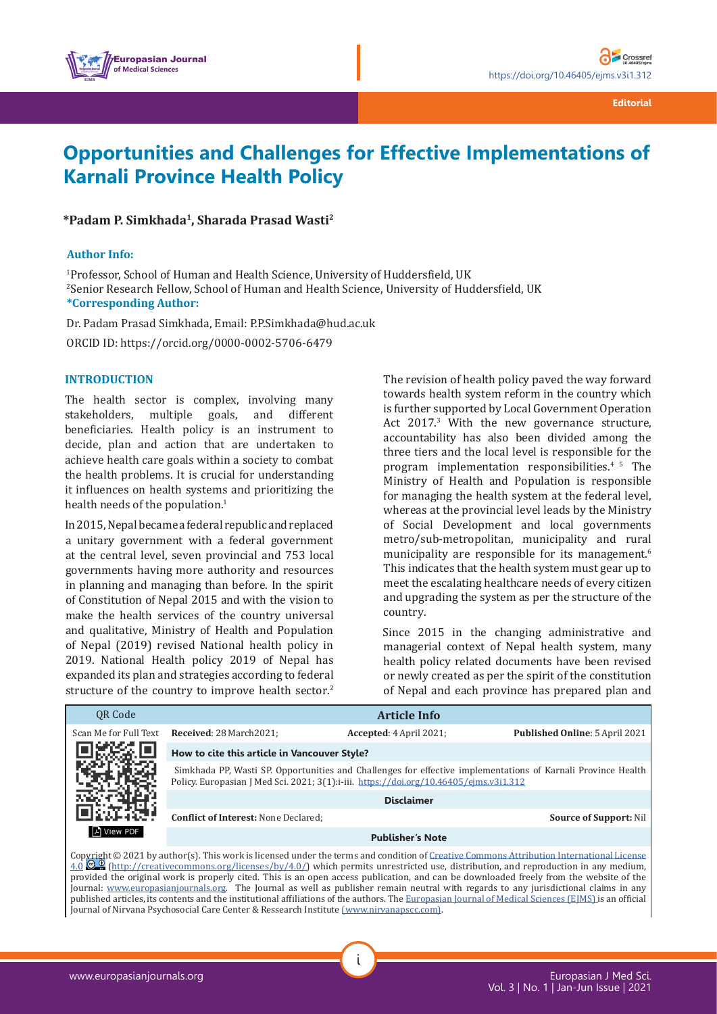

# **Opportunities and Challenges for Effective Implementations of Karnali Province Health Policy**

**\*Padam P. Simkhada1, Sharada Prasad Wasti2**

### **Author Info:**

1 Professor, School of Human and Health Science, University of Huddersfield, UK 2 Senior Research Fellow, School of Human and Health Science, University of Huddersfield, UK **\*Corresponding Author:**

Dr. Padam Prasad Simkhada, Email: [P.P.Simkhada@hud.ac.uk](mailto:P.P.Simkhada@hud.ac.uk)

ORCID ID: https://orcid.org/0000-0002-5706-6479

### **INTRODUCTION**

The health sector is complex, involving many stakeholders, multiple goals, and different stakeholders, multiple beneficiaries. Health policy is an instrument to decide, plan and action that are undertaken to achieve health care goals within a society to combat the health problems. It is crucial for understanding it influences on health systems and prioritizing the health needs of the population.<sup>1</sup>

In 2015, Nepal became a federal republic and replaced a unitary government with a federal government at the central level, seven provincial and 753 local governments having more authority and resources in planning and managing than before. In the spirit of Constitution of Nepal 2015 and with the vision to make the health services of the country universal and qualitative, Ministry of Health and Population of Nepal (2019) revised National health policy in 2019. National Health policy 2019 of Nepal has expanded its plan and strategies according to federal structure of the country to improve health sector.<sup>2</sup>

The revision of health policy paved the way forward towards health system reform in the country which is further supported by Local Government Operation Act 2017.<sup>3</sup> With the new governance structure, accountability has also been divided among the three tiers and the local level is responsible for the program implementation responsibilities. $45$  The Ministry of Health and Population is responsible for managing the health system at the federal level, whereas at the provincial level leads by the Ministry of Social Development and local governments metro/sub-metropolitan, municipality and rural municipality are responsible for its management.<sup>6</sup> This indicates that the health system must gear up to meet the escalating healthcare needs of every citizen and upgrading the system as per the structure of the country.

Since 2015 in the changing administrative and managerial context of Nepal health system, many health policy related documents have been revised or newly created as per the spirit of the constitution of Nepal and each province has prepared plan and

| OR Code               | <b>Article Info</b>                                                                                                                                                                                    |                         |                                                                                                                                                                                                                                                                                                                                                                                                                                                                                                                                                                                                                                                                                      |
|-----------------------|--------------------------------------------------------------------------------------------------------------------------------------------------------------------------------------------------------|-------------------------|--------------------------------------------------------------------------------------------------------------------------------------------------------------------------------------------------------------------------------------------------------------------------------------------------------------------------------------------------------------------------------------------------------------------------------------------------------------------------------------------------------------------------------------------------------------------------------------------------------------------------------------------------------------------------------------|
| Scan Me for Full Text | Received: 28 March 2021:                                                                                                                                                                               | Accepted: 4 April 2021; | Published Online: 5 April 2021                                                                                                                                                                                                                                                                                                                                                                                                                                                                                                                                                                                                                                                       |
|                       | How to cite this article in Vancouver Style?                                                                                                                                                           |                         |                                                                                                                                                                                                                                                                                                                                                                                                                                                                                                                                                                                                                                                                                      |
|                       | Simkhada PP, Wasti SP. Opportunities and Challenges for effective implementations of Karnali Province Health<br>Policy. Europasian J Med Sci. 2021; 3(1):i-iii. https://doi.org/10.46405/ejms.v3i1.312 |                         |                                                                                                                                                                                                                                                                                                                                                                                                                                                                                                                                                                                                                                                                                      |
|                       | <b>Disclaimer</b>                                                                                                                                                                                      |                         |                                                                                                                                                                                                                                                                                                                                                                                                                                                                                                                                                                                                                                                                                      |
|                       | <b>Conflict of Interest: None Declared:</b>                                                                                                                                                            |                         | <b>Source of Support: Nil</b>                                                                                                                                                                                                                                                                                                                                                                                                                                                                                                                                                                                                                                                        |
| A View PDF            | <b>Publisher's Note</b>                                                                                                                                                                                |                         |                                                                                                                                                                                                                                                                                                                                                                                                                                                                                                                                                                                                                                                                                      |
|                       |                                                                                                                                                                                                        |                         | Copyright © 2021 by author(s). This work is licensed under the terms and condition of Creative Commons Attribution International License<br>4.0 (http://creativecommons.org/licenses/by/4.0/) which permits unrestricted use, distribution, and reproduction in any medium,<br>provided the original work is properly cited. This is an open access publication, and can be downloaded freely from the website of the<br>Journal: www.europasianjournals.org. The Journal as well as publisher remain neutral with regards to any jurisdictional claims in any<br>s libilidadis no secondo silistano di Mitorico Ales di combando se secondare di Mitigati di Mitoria (PMM) de SM 21 |

i

published articles, its contents and the institutional affiliations of the authors. The [Europasian Journal of Medical Sciences \(EJMS\)](http://www.europasianjournals.org) is an official Journal of Nirvana Psychosocial Care Center & Ressearch Institute (www.nirvanapscc.com).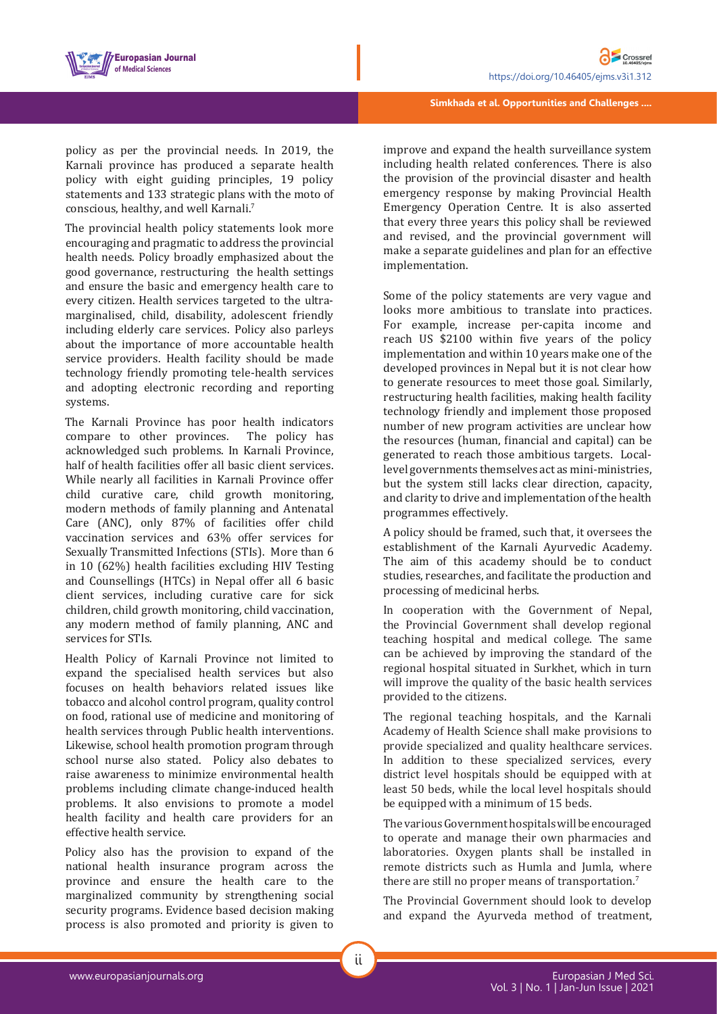



**Simkhada et al. Opportunities and Challenges ....**

policy as per the provincial needs. In 2019, the Karnali province has produced a separate health policy with eight guiding principles, 19 policy statements and 133 strategic plans with the moto of conscious, healthy, and well Karnali.<sup>7</sup>

The provincial health policy statements look more encouraging and pragmatic to address the provincial health needs. Policy broadly emphasized about the good governance, restructuring the health settings and ensure the basic and emergency health care to every citizen. Health services targeted to the ultramarginalised, child, disability, adolescent friendly including elderly care services. Policy also parleys about the importance of more accountable health service providers. Health facility should be made technology friendly promoting tele-health services and adopting electronic recording and reporting systems.

The Karnali Province has poor health indicators<br>compare to other provinces. The policy has compare to other provinces. acknowledged such problems. In Karnali Province, half of health facilities offer all basic client services. While nearly all facilities in Karnali Province offer child curative care, child growth monitoring, modern methods of family planning and Antenatal Care (ANC), only 87% of facilities offer child vaccination services and 63% offer services for Sexually Transmitted Infections (STIs). More than 6 in 10 (62%) health facilities excluding HIV Testing and Counsellings (HTCs) in Nepal offer all 6 basic client services, including curative care for sick children, child growth monitoring, child vaccination, any modern method of family planning, ANC and services for STIs.

Health Policy of Karnali Province not limited to expand the specialised health services but also focuses on health behaviors related issues like tobacco and alcohol control program, quality control on food, rational use of medicine and monitoring of health services through Public health interventions. Likewise, school health promotion program through school nurse also stated. Policy also debates to raise awareness to minimize environmental health problems including climate change-induced health problems. It also envisions to promote a model health facility and health care providers for an effective health service.

Policy also has the provision to expand of the national health insurance program across the province and ensure the health care to the marginalized community by strengthening social security programs. Evidence based decision making process is also promoted and priority is given to

improve and expand the health surveillance system including health related conferences. There is also the provision of the provincial disaster and health emergency response by making Provincial Health Emergency Operation Centre. It is also asserted that every three years this policy shall be reviewed and revised, and the provincial government will make a separate guidelines and plan for an effective implementation.

Some of the policy statements are very vague and looks more ambitious to translate into practices. For example, increase per-capita income and reach US \$2100 within five years of the policy implementation and within 10 years make one of the developed provinces in Nepal but it is not clear how to generate resources to meet those goal. Similarly, restructuring health facilities, making health facility technology friendly and implement those proposed number of new program activities are unclear how the resources (human, financial and capital) can be generated to reach those ambitious targets. Locallevel governments themselves act as mini-ministries, but the system still lacks clear direction, capacity, and clarity to drive and implementation of the health programmes effectively.

A policy should be framed, such that, it oversees the establishment of the Karnali Ayurvedic Academy. The aim of this academy should be to conduct studies, researches, and facilitate the production and processing of medicinal herbs.

In cooperation with the Government of Nepal, the Provincial Government shall develop regional teaching hospital and medical college. The same can be achieved by improving the standard of the regional hospital situated in Surkhet, which in turn will improve the quality of the basic health services provided to the citizens.

The regional teaching hospitals, and the Karnali Academy of Health Science shall make provisions to provide specialized and quality healthcare services. In addition to these specialized services, every district level hospitals should be equipped with at least 50 beds, while the local level hospitals should be equipped with a minimum of 15 beds.

The various Government hospitals will be encouraged to operate and manage their own pharmacies and laboratories. Oxygen plants shall be installed in remote districts such as Humla and Jumla, where there are still no proper means of transportation.7

The Provincial Government should look to develop and expand the Ayurveda method of treatment,